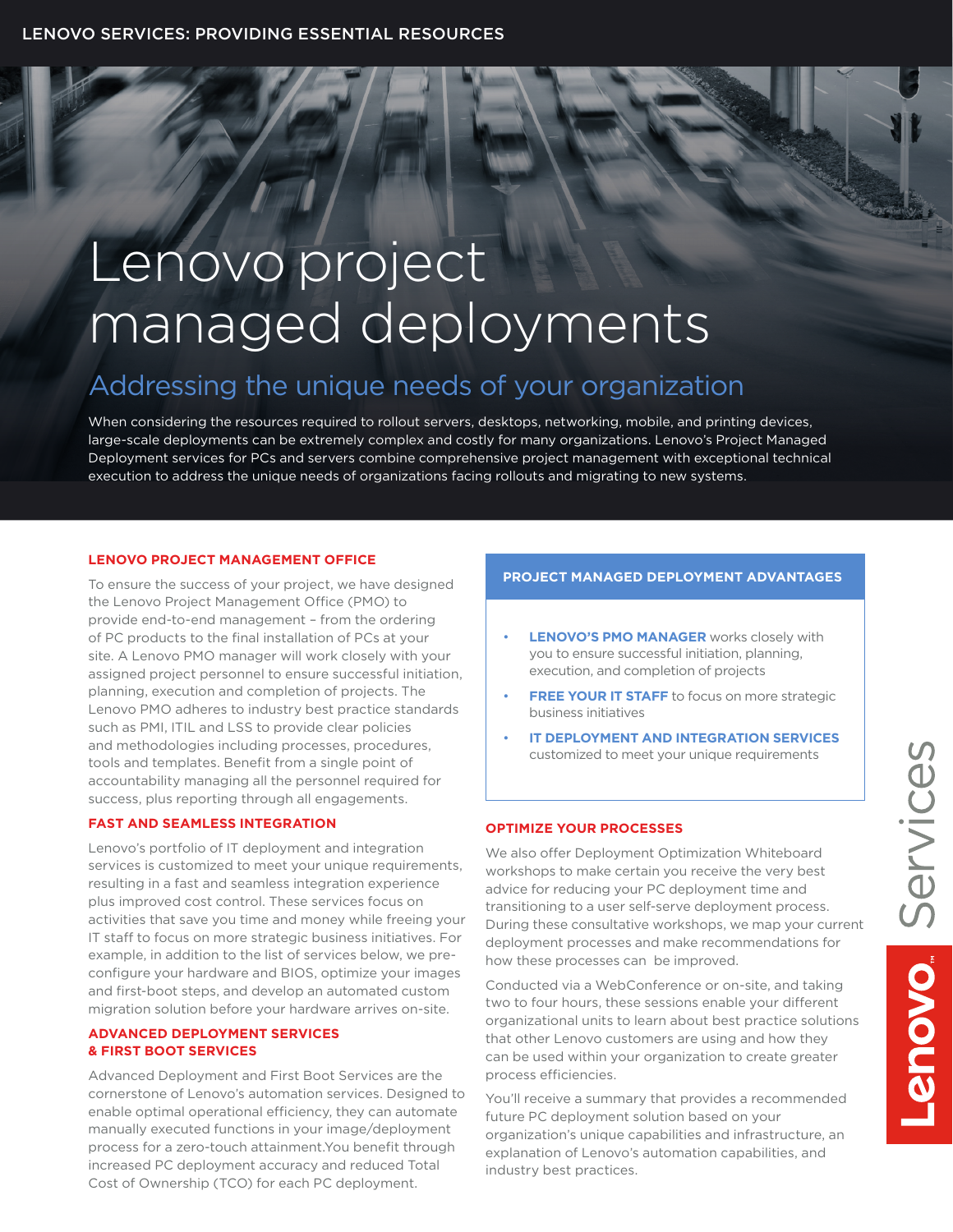# Lenovo project managed deployments

## Addressing the unique needs of your organization

When considering the resources required to rollout servers, desktops, networking, mobile, and printing devices, large-scale deployments can be extremely complex and costly for many organizations. Lenovo's Project Managed Deployment services for PCs and servers combine comprehensive project management with exceptional technical execution to address the unique needs of organizations facing rollouts and migrating to new systems.

#### **LENOVO PROJECT MANAGEMENT OFFICE**

To ensure the success of your project, we have designed the Lenovo Project Management Office (PMO) to provide end-to-end management – from the ordering of PC products to the final installation of PCs at your site. A Lenovo PMO manager will work closely with your assigned project personnel to ensure successful initiation, planning, execution and completion of projects. The Lenovo PMO adheres to industry best practice standards such as PMI, ITIL and LSS to provide clear policies and methodologies including processes, procedures, tools and templates. Benefit from a single point of accountability managing all the personnel required for success, plus reporting through all engagements.

## **FAST AND SEAMLESS INTEGRATION**

Lenovo's portfolio of IT deployment and integration services is customized to meet your unique requirements, resulting in a fast and seamless integration experience plus improved cost control. These services focus on activities that save you time and money while freeing your IT staff to focus on more strategic business initiatives. For example, in addition to the list of services below, we preconfigure your hardware and BIOS, optimize your images and first-boot steps, and develop an automated custom migration solution before your hardware arrives on-site.

#### **ADVANCED DEPLOYMENT SERVICES & FIRST BOOT SERVICES**

Advanced Deployment and First Boot Services are the cornerstone of Lenovo's automation services. Designed to enable optimal operational efficiency, they can automate manually executed functions in your image/deployment process for a zero-touch attainment.You benefit through increased PC deployment accuracy and reduced Total Cost of Ownership (TCO) for each PC deployment.

### **PROJECT MANAGED DEPLOYMENT ADVANTAGES**

- **LENOVO'S PMO MANAGER** works closely with you to ensure successful initiation, planning, execution, and completion of projects
- **FREE YOUR IT STAFF** to focus on more strategic business initiatives
- **IT DEPLOYMENT AND INTEGRATION SERVICES** customized to meet your unique requirements

#### **OPTIMIZE YOUR PROCESSES**

We also offer Deployment Optimization Whiteboard workshops to make certain you receive the very best advice for reducing your PC deployment time and transitioning to a user self-serve deployment process. During these consultative workshops, we map your current deployment processes and make recommendations for how these processes can be improved.

Conducted via a WebConference or on-site, and taking two to four hours, these sessions enable your different organizational units to learn about best practice solutions that other Lenovo customers are using and how they can be used within your organization to create greater process efficiencies.

You'll receive a summary that provides a recommended future PC deployment solution based on your organization's unique capabilities and infrastructure, an explanation of Lenovo's automation capabilities, and industry best practices.